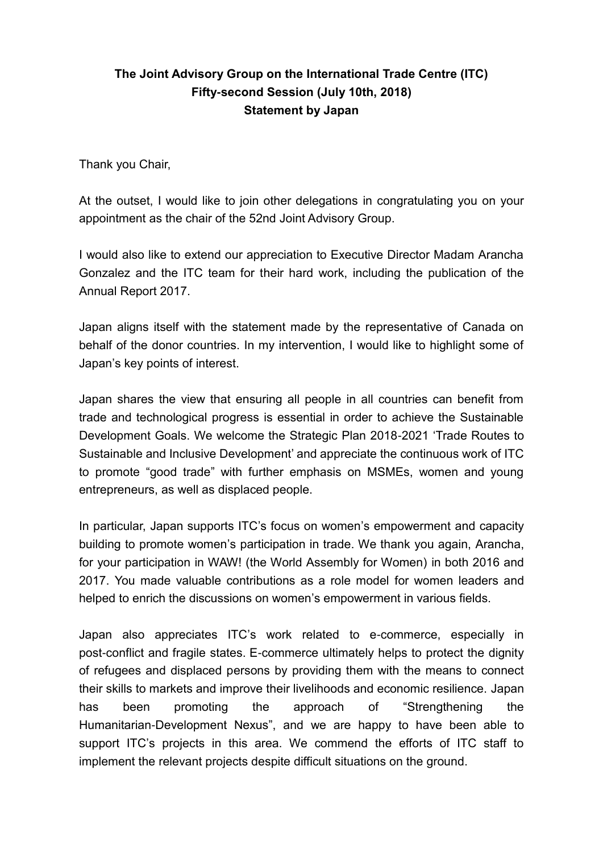## **The Joint Advisory Group on the International Trade Centre (ITC) Fifty-second Session (July 10th, 2018) Statement by Japan**

Thank you Chair,

At the outset, I would like to join other delegations in congratulating you on your appointment as the chair of the 52nd Joint Advisory Group.

I would also like to extend our appreciation to Executive Director Madam Arancha Gonzalez and the ITC team for their hard work, including the publication of the Annual Report 2017.

Japan aligns itself with the statement made by the representative of Canada on behalf of the donor countries. In my intervention, I would like to highlight some of Japan's key points of interest.

Japan shares the view that ensuring all people in all countries can benefit from trade and technological progress is essential in order to achieve the Sustainable Development Goals. We welcome the Strategic Plan 2018-2021 'Trade Routes to Sustainable and Inclusive Development' and appreciate the continuous work of ITC to promote "good trade" with further emphasis on MSMEs, women and young entrepreneurs, as well as displaced people.

In particular, Japan supports ITC's focus on women's empowerment and capacity building to promote women's participation in trade. We thank you again, Arancha, for your participation in WAW! (the World Assembly for Women) in both 2016 and 2017. You made valuable contributions as a role model for women leaders and helped to enrich the discussions on women's empowerment in various fields.

Japan also appreciates ITC's work related to e-commerce, especially in post-conflict and fragile states. E-commerce ultimately helps to protect the dignity of refugees and displaced persons by providing them with the means to connect their skills to markets and improve their livelihoods and economic resilience. Japan has been promoting the approach of "Strengthening the Humanitarian-Development Nexus", and we are happy to have been able to support ITC's projects in this area. We commend the efforts of ITC staff to implement the relevant projects despite difficult situations on the ground.